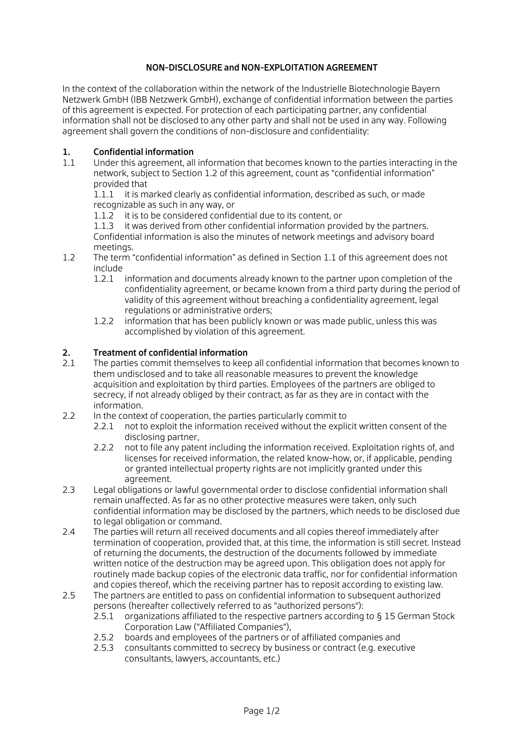# NON-DISCLOSURE and NON-EXPLOITATION AGREEMENT

In the context of the collaboration within the network of the Industrielle Biotechnologie Bayern Netzwerk GmbH (IBB Netzwerk GmbH), exchange of confidential information between the parties of this agreement is expected. For protection of each participating partner, any confidential information shall not be disclosed to any other party and shall not be used in any way. Following agreement shall govern the conditions of non-disclosure and confidentiality:

## 1. Confidential information

1.1 Under this agreement, all information that becomes known to the parties interacting in the network, subject to Section 1.2 of this agreement, count as "confidential information" provided that

1.1.1 it is marked clearly as confidential information, described as such, or made recognizable as such in any way, or

1.1.2 it is to be considered confidential due to its content, or

1.1.3 it was derived from other confidential information provided by the partners. Confidential information is also the minutes of network meetings and advisory board meetings.

- 1.2 The term "confidential information" as defined in Section 1.1 of this agreement does not include
	- 1.2.1 information and documents already known to the partner upon completion of the confidentiality agreement, or became known from a third party during the period of validity of this agreement without breaching a confidentiality agreement, legal regulations or administrative orders;
	- 1.2.2 information that has been publicly known or was made public, unless this was accomplished by violation of this agreement.

## 2. Treatment of confidential information

- 2.1 The parties commit themselves to keep all confidential information that becomes known to them undisclosed and to take all reasonable measures to prevent the knowledge acquisition and exploitation by third parties. Employees of the partners are obliged to secrecy, if not already obliged by their contract, as far as they are in contact with the information.
- 2.2 In the context of cooperation, the parties particularly commit to
	- 2.2.1 not to exploit the information received without the explicit written consent of the disclosing partner,
	- 2.2.2 not to file any patent including the information received. Exploitation rights of, and licenses for received information, the related know-how, or, if applicable, pending or granted intellectual property rights are not implicitly granted under this agreement.
- 2.3 Legal obligations or lawful governmental order to disclose confidential information shall remain unaffected. As far as no other protective measures were taken, only such confidential information may be disclosed by the partners, which needs to be disclosed due to legal obligation or command.
- 2.4 The parties will return all received documents and all copies thereof immediately after termination of cooperation, provided that, at this time, the information is still secret. Instead of returning the documents, the destruction of the documents followed by immediate written notice of the destruction may be agreed upon. This obligation does not apply for routinely made backup copies of the electronic data traffic, nor for confidential information and copies thereof, which the receiving partner has to reposit according to existing law.
- 2.5 The partners are entitled to pass on confidential information to subsequent authorized persons (hereafter collectively referred to as "authorized persons"):
	- 2.5.1 organizations affiliated to the respective partners according to § 15 German Stock Corporation Law ("Affiliated Companies"),
	- 2.5.2 boards and employees of the partners or of affiliated companies and
	- 2.5.3 consultants committed to secrecy by business or contract (e.g. executive consultants, lawyers, accountants, etc.)